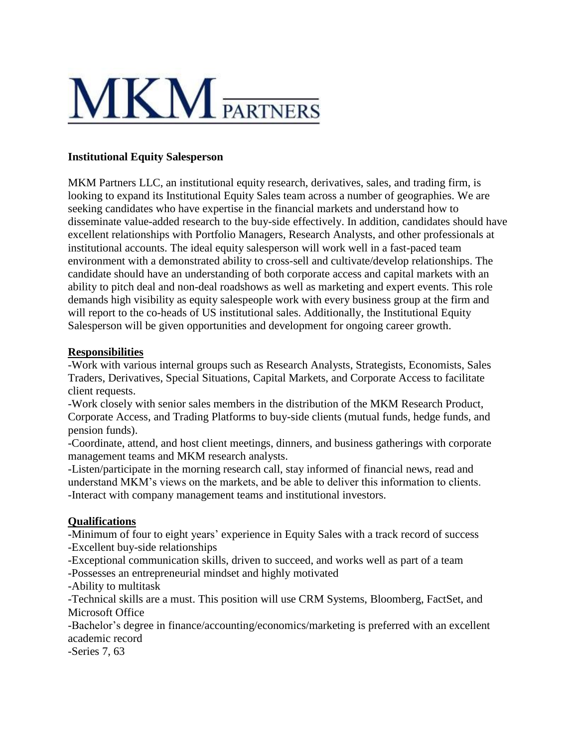

## **Institutional Equity Salesperson**

MKM Partners LLC, an institutional equity research, derivatives, sales, and trading firm, is looking to expand its Institutional Equity Sales team across a number of geographies. We are seeking candidates who have expertise in the financial markets and understand how to disseminate value-added research to the buy-side effectively. In addition, candidates should have excellent relationships with Portfolio Managers, Research Analysts, and other professionals at institutional accounts. The ideal equity salesperson will work well in a fast-paced team environment with a demonstrated ability to cross-sell and cultivate/develop relationships. The candidate should have an understanding of both corporate access and capital markets with an ability to pitch deal and non-deal roadshows as well as marketing and expert events. This role demands high visibility as equity salespeople work with every business group at the firm and will report to the co-heads of US institutional sales. Additionally, the Institutional Equity Salesperson will be given opportunities and development for ongoing career growth.

## **Responsibilities**

-Work with various internal groups such as Research Analysts, Strategists, Economists, Sales Traders, Derivatives, Special Situations, Capital Markets, and Corporate Access to facilitate client requests.

-Work closely with senior sales members in the distribution of the MKM Research Product, Corporate Access, and Trading Platforms to buy-side clients (mutual funds, hedge funds, and pension funds).

-Coordinate, attend, and host client meetings, dinners, and business gatherings with corporate management teams and MKM research analysts.

-Listen/participate in the morning research call, stay informed of financial news, read and understand MKM's views on the markets, and be able to deliver this information to clients. -Interact with company management teams and institutional investors.

## **Qualifications**

-Minimum of four to eight years' experience in Equity Sales with a track record of success -Excellent buy-side relationships

-Exceptional communication skills, driven to succeed, and works well as part of a team -Possesses an entrepreneurial mindset and highly motivated

-Ability to multitask

-Technical skills are a must. This position will use CRM Systems, Bloomberg, FactSet, and Microsoft Office

-Bachelor's degree in finance/accounting/economics/marketing is preferred with an excellent academic record

-Series 7, 63